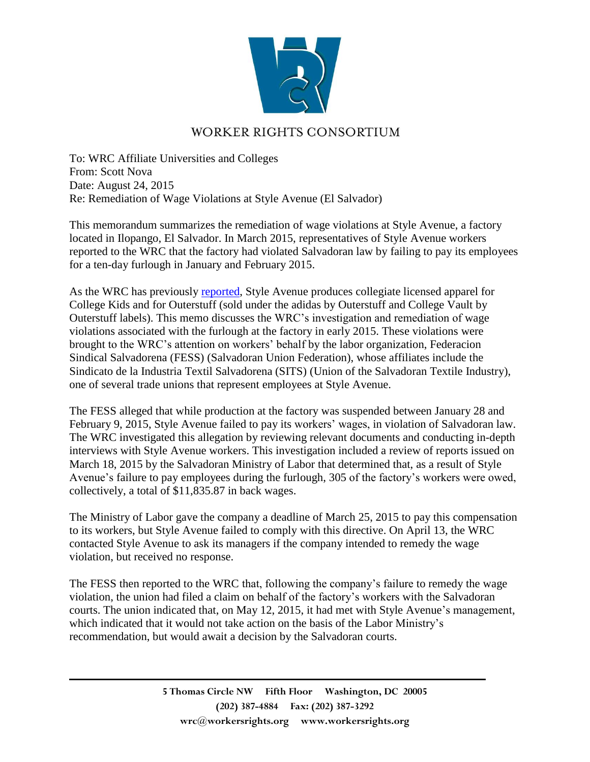

## WORKER RIGHTS CONSORTIUM

To: WRC Affiliate Universities and Colleges From: Scott Nova Date: August 24, 2015 Re: Remediation of Wage Violations at Style Avenue (El Salvador)

This memorandum summarizes the remediation of wage violations at Style Avenue, a factory located in Ilopango, El Salvador. In March 2015, representatives of Style Avenue workers reported to the WRC that the factory had violated Salvadoran law by failing to pay its employees for a ten-day furlough in January and February 2015.

As the WRC has previously [reported,](http://www.workersrights.org/university/memo/070612.html) Style Avenue produces collegiate licensed apparel for College Kids and for Outerstuff (sold under the adidas by Outerstuff and College Vault by Outerstuff labels). This memo discusses the WRC's investigation and remediation of wage violations associated with the furlough at the factory in early 2015. These violations were brought to the WRC's attention on workers' behalf by the labor organization, Federacion Sindical Salvadorena (FESS) (Salvadoran Union Federation), whose affiliates include the Sindicato de la Industria Textil Salvadorena (SITS) (Union of the Salvadoran Textile Industry), one of several trade unions that represent employees at Style Avenue.

The FESS alleged that while production at the factory was suspended between January 28 and February 9, 2015, Style Avenue failed to pay its workers' wages, in violation of Salvadoran law. The WRC investigated this allegation by reviewing relevant documents and conducting in-depth interviews with Style Avenue workers. This investigation included a review of reports issued on March 18, 2015 by the Salvadoran Ministry of Labor that determined that, as a result of Style Avenue's failure to pay employees during the furlough, 305 of the factory's workers were owed, collectively, a total of \$11,835.87 in back wages.

The Ministry of Labor gave the company a deadline of March 25, 2015 to pay this compensation to its workers, but Style Avenue failed to comply with this directive. On April 13, the WRC contacted Style Avenue to ask its managers if the company intended to remedy the wage violation, but received no response.

The FESS then reported to the WRC that, following the company's failure to remedy the wage violation, the union had filed a claim on behalf of the factory's workers with the Salvadoran courts. The union indicated that, on May 12, 2015, it had met with Style Avenue's management, which indicated that it would not take action on the basis of the Labor Ministry's recommendation, but would await a decision by the Salvadoran courts.